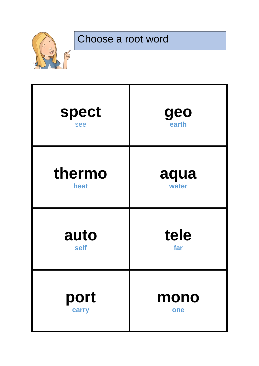

# Choose a root word

| <b>spect</b> | geo   |
|--------------|-------|
| see          | earth |
| thermo       | aqua  |
| heat         | water |
| auto         | tele  |
| self         | far   |
| port         | mono  |
| carry        | one   |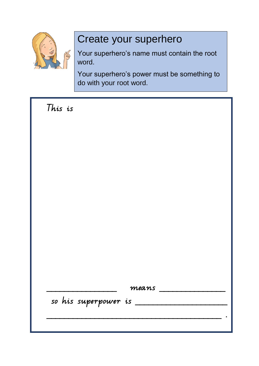

### Create your superhero

Your superhero's name must contain the root word.

Your superhero's power must be something to do with your root word.

| This is                 |       |
|-------------------------|-------|
|                         |       |
|                         |       |
|                         |       |
|                         |       |
|                         |       |
|                         |       |
|                         |       |
|                         |       |
|                         |       |
|                         | means |
| so his superpower is __ |       |
|                         |       |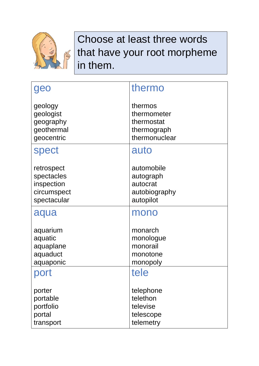

### Choose at least three words that have your root morpheme in them.

| geo                                                                  | thermo                                                               |
|----------------------------------------------------------------------|----------------------------------------------------------------------|
| geology<br>geologist<br>geography<br>geothermal<br>geocentric        | thermos<br>thermometer<br>thermostat<br>thermograph<br>thermonuclear |
| <b>spect</b>                                                         | auto                                                                 |
| retrospect<br>spectacles<br>inspection<br>circumspect<br>spectacular | automobile<br>autograph<br>autocrat<br>autobiography<br>autopilot    |
| aqua                                                                 | mono                                                                 |
| aquarium<br>aquatic<br>aquaplane<br>aquaduct<br>aquaponic            | monarch<br>monologue<br>monorail<br>monotone<br>monopoly             |
| port                                                                 | tele                                                                 |
| porter<br>portable<br>portfolio<br>portal<br>transport               | telephone<br>telethon<br>televise<br>telescope<br>telemetry          |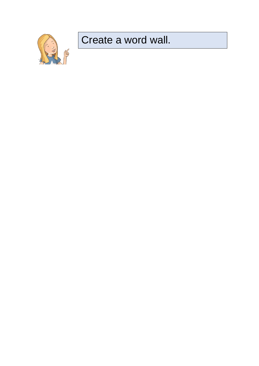

### Create a word wall.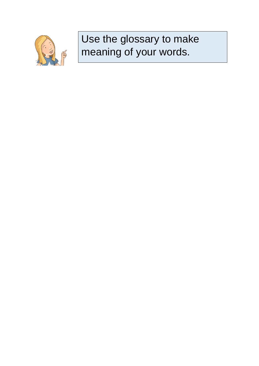

## Use the glossary to make meaning of your words.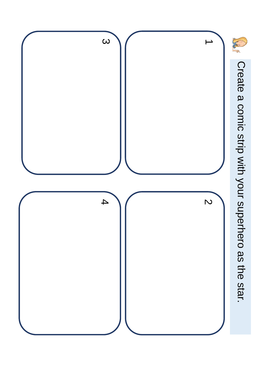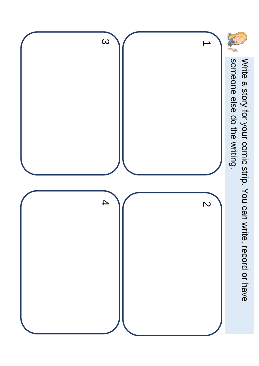